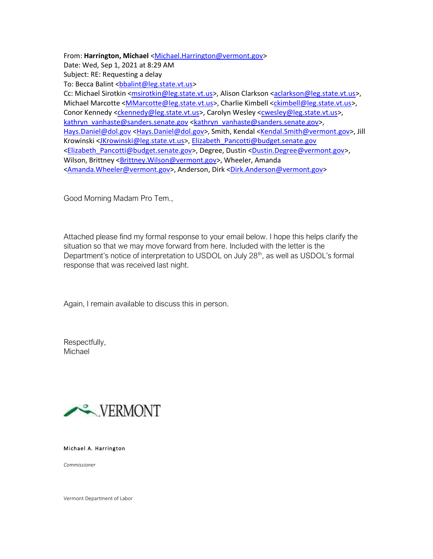From: **Harrington, Michael** [<Michael.Harrington@vermont.gov>](mailto:Michael.Harrington@vermont.gov) Date: Wed, Sep 1, 2021 at 8:29 AM Subject: RE: Requesting a delay To: Becca Balint <br />
bbalint@leg.state.vt.us> Cc: Michael Sirotkin [<msirotkin@leg.state.vt.us>](mailto:msirotkin@leg.state.vt.us), Alison Clarkson [<aclarkson@leg.state.vt.us>](mailto:aclarkson@leg.state.vt.us), Michael Marcotte [<MMarcotte@leg.state.vt.us>](mailto:MMarcotte@leg.state.vt.us), Charlie Kimbell [<ckimbell@leg.state.vt.us>](mailto:ckimbell@leg.state.vt.us), Conor Kennedy [<ckennedy@leg.state.vt.us>](mailto:ckennedy@leg.state.vt.us), Carolyn Wesley [<cwesley@leg.state.vt.us>](mailto:cwesley@leg.state.vt.us), [kathryn\\_vanhaste@sanders.senate.gov](mailto:kathryn_vanhaste@sanders.senate.gov) [<kathryn\\_vanhaste@sanders.senate.gov>](mailto:kathryn_vanhaste@sanders.senate.gov), [Hays.Daniel@dol.gov](mailto:Hays.Daniel@dol.gov) [<Hays.Daniel@dol.gov>](mailto:Hays.Daniel@dol.gov), Smith, Kendal [<Kendal.Smith@vermont.gov>](mailto:Kendal.Smith@vermont.gov), Jill Krowinski [<JKrowinski@leg.state.vt.us>](mailto:JKrowinski@leg.state.vt.us), [Elizabeth\\_Pancotti@budget.senate.gov](mailto:Elizabeth_Pancotti@budget.senate.gov) [<Elizabeth\\_Pancotti@budget.senate.gov>](mailto:Elizabeth_Pancotti@budget.senate.gov), Degree, Dustin [<Dustin.Degree@vermont.gov>](mailto:Dustin.Degree@vermont.gov), Wilson, Brittney < Brittney. Wilson@vermont.gov>, Wheeler, Amanda [<Amanda.Wheeler@vermont.gov>](mailto:Amanda.Wheeler@vermont.gov), Anderson, Dirk [<Dirk.Anderson@vermont.gov>](mailto:Dirk.Anderson@vermont.gov)

Good Morning Madam Pro Tem.,

Attached please find my formal response to your email below. I hope this helps clarify the situation so that we may move forward from here. Included with the letter is the Department's notice of interpretation to USDOL on July 28<sup>th</sup>, as well as USDOL's formal response that was received last night.

Again, I remain available to discuss this in person.

Respectfully, Michael



Michael A. Harrington

*Commissioner*

Vermont Department of Labor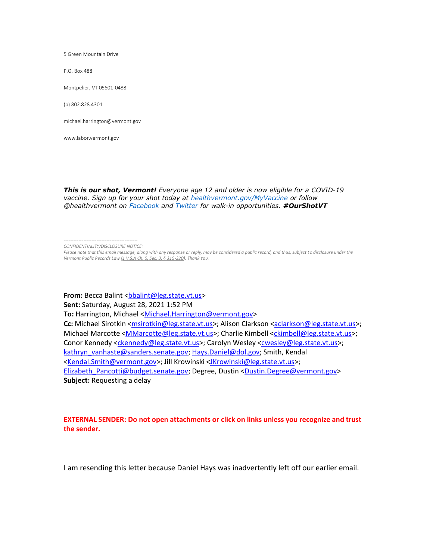5 Green Mountain Drive

P.O. Box 488

Montpelier, VT 05601-0488

(p) 802.828.4301

[michael.harrington@vermont.gov](mailto:michael.harrington@vermont.gov)

[www.labor.vermont.gov](http://www.labor.vermont.gov/)

*This is our shot, Vermont! Everyone age 12 and older is now eligible for a COVID-19 vaccine. Sign up for your shot today at [healthvermont.gov/MyVaccine](https://healthvermont.gov/MyVaccine) or follow @healthvermont on [Facebook](https://www.facebook.com/HealthVermont/) and [Twitter](https://www.twitter.com/healthvermont/) for walk-in opportunities. #OurShotVT*

From: Becca Balint [<bbalint@leg.state.vt.us>](mailto:bbalint@leg.state.vt.us) **Sent:** Saturday, August 28, 2021 1:52 PM To: Harrington, Michael [<Michael.Harrington@vermont.gov>](mailto:Michael.Harrington@vermont.gov) Cc: Michael Sirotkin [<msirotkin@leg.state.vt.us>](mailto:msirotkin@leg.state.vt.us); Alison Clarkson [<aclarkson@leg.state.vt.us>](mailto:aclarkson@leg.state.vt.us); Michael Marcotte [<MMarcotte@leg.state.vt.us>](mailto:MMarcotte@leg.state.vt.us); Charlie Kimbell [<ckimbell@leg.state.vt.us>](mailto:ckimbell@leg.state.vt.us); Conor Kennedy [<ckennedy@leg.state.vt.us>](mailto:ckennedy@leg.state.vt.us); Carolyn Wesley [<cwesley@leg.state.vt.us>](mailto:cwesley@leg.state.vt.us); [kathryn\\_vanhaste@sanders.senate.gov;](mailto:kathryn_vanhaste@sanders.senate.gov) [Hays.Daniel@dol.gov;](mailto:Hays.Daniel@dol.gov) Smith, Kendal [<Kendal.Smith@vermont.gov>](mailto:Kendal.Smith@vermont.gov); Jill Krowinski [<JKrowinski@leg.state.vt.us>](mailto:JKrowinski@leg.state.vt.us); [Elizabeth\\_Pancotti@budget.senate.gov;](mailto:Elizabeth_Pancotti@budget.senate.gov) Degree, Dustin [<Dustin.Degree@vermont.gov>](mailto:Dustin.Degree@vermont.gov) **Subject:** Requesting a delay

## **EXTERNAL SENDER: Do not open attachments or click on links unless you recognize and trust the sender.**

I am resending this letter because Daniel Hays was inadvertently left off our earlier email.

*<sup>---------------------------------------------</sup> CONFIDENTIALITY/DISCLOSURE NOTICE:*

*Please note that this email message, along with any response or reply, may be considered a public record, and thus, subject to disclosure under the Vermont Public Records Law [\(1 V.S.A Ch. 5, Sec. 3, § 315-320\).](http://legislature.vermont.gov/statutes/chapter/01/005) Thank You.*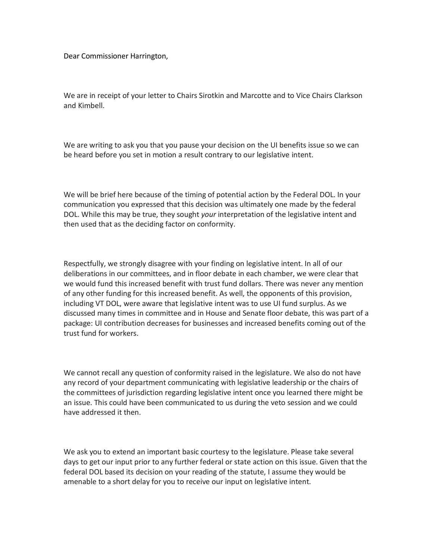Dear Commissioner Harrington,

We are in receipt of your letter to Chairs Sirotkin and Marcotte and to Vice Chairs Clarkson and Kimbell.

We are writing to ask you that you pause your decision on the UI benefits issue so we can be heard before you set in motion a result contrary to our legislative intent.

We will be brief here because of the timing of potential action by the Federal DOL. In your communication you expressed that this decision was ultimately one made by the federal DOL. While this may be true, they sought *your* interpretation of the legislative intent and then used that as the deciding factor on conformity.

Respectfully, we strongly disagree with your finding on legislative intent. In all of our deliberations in our committees, and in floor debate in each chamber, we were clear that we would fund this increased benefit with trust fund dollars. There was never any mention of any other funding for this increased benefit. As well, the opponents of this provision, including VT DOL, were aware that legislative intent was to use UI fund surplus. As we discussed many times in committee and in House and Senate floor debate, this was part of a package: UI contribution decreases for businesses and increased benefits coming out of the trust fund for workers.

We cannot recall any question of conformity raised in the legislature. We also do not have any record of your department communicating with legislative leadership or the chairs of the committees of jurisdiction regarding legislative intent once you learned there might be an issue. This could have been communicated to us during the veto session and we could have addressed it then.

We ask you to extend an important basic courtesy to the legislature. Please take several days to get our input prior to any further federal or state action on this issue. Given that the federal DOL based its decision on your reading of the statute, I assume they would be amenable to a short delay for you to receive our input on legislative intent.